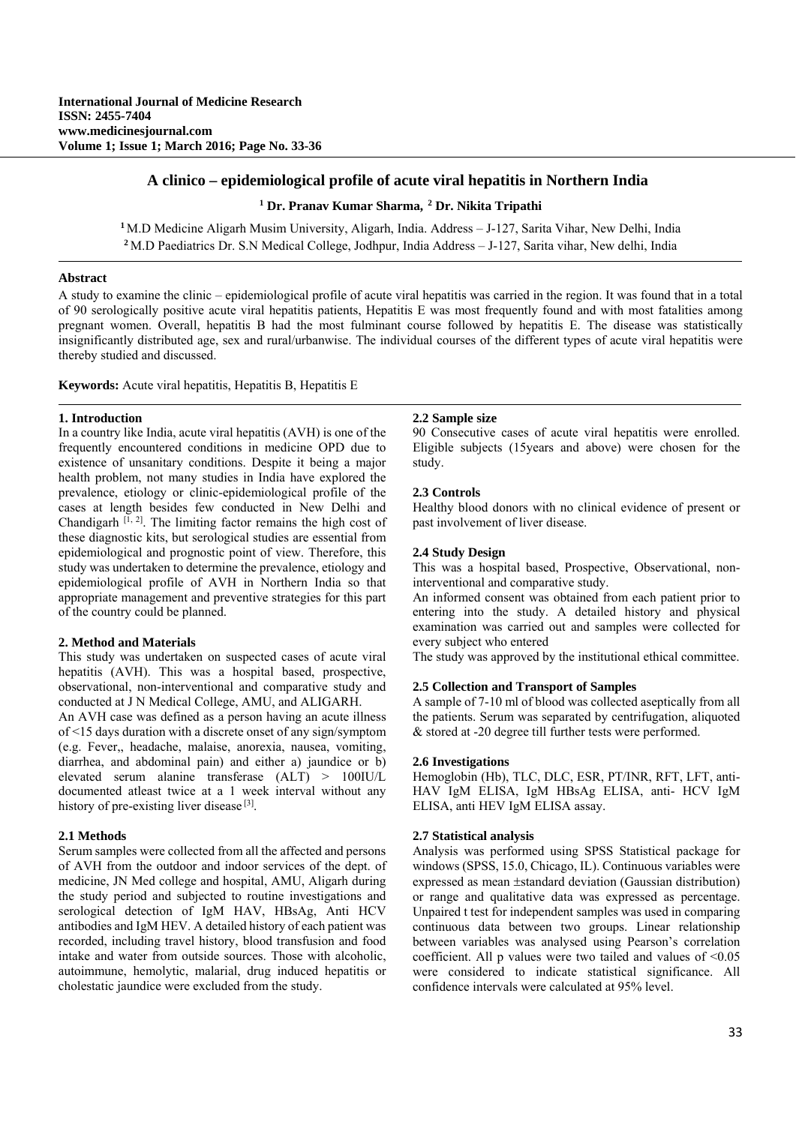# **A clinico – epidemiological profile of acute viral hepatitis in Northern India**

# **1 Dr. Pranav Kumar Sharma, <sup>2</sup> Dr. Nikita Tripathi**

**<sup>1</sup>**M.D Medicine Aligarh Musim University, Aligarh, India. Address – J-127, Sarita Vihar, New Delhi, India **<sup>2</sup>**M.D Paediatrics Dr. S.N Medical College, Jodhpur, India Address – J-127, Sarita vihar, New delhi, India

# **Abstract**

A study to examine the clinic – epidemiological profile of acute viral hepatitis was carried in the region. It was found that in a total of 90 serologically positive acute viral hepatitis patients, Hepatitis E was most frequently found and with most fatalities among pregnant women. Overall, hepatitis B had the most fulminant course followed by hepatitis E. The disease was statistically insignificantly distributed age, sex and rural/urbanwise. The individual courses of the different types of acute viral hepatitis were thereby studied and discussed.

**Keywords:** Acute viral hepatitis, Hepatitis B, Hepatitis E

## **1. Introduction**

In a country like India, acute viral hepatitis (AVH) is one of the frequently encountered conditions in medicine OPD due to existence of unsanitary conditions. Despite it being a major health problem, not many studies in India have explored the prevalence, etiology or clinic-epidemiological profile of the cases at length besides few conducted in New Delhi and Chandigarh  $[I, 2]$ . The limiting factor remains the high cost of these diagnostic kits, but serological studies are essential from epidemiological and prognostic point of view. Therefore, this study was undertaken to determine the prevalence, etiology and epidemiological profile of AVH in Northern India so that appropriate management and preventive strategies for this part of the country could be planned.

#### **2. Method and Materials**

This study was undertaken on suspected cases of acute viral hepatitis (AVH). This was a hospital based, prospective, observational, non-interventional and comparative study and conducted at J N Medical College, AMU, and ALIGARH.

An AVH case was defined as a person having an acute illness of <15 days duration with a discrete onset of any sign/symptom (e.g. Fever,, headache, malaise, anorexia, nausea, vomiting, diarrhea, and abdominal pain) and either a) jaundice or b) elevated serum alanine transferase (ALT) > 100IU/L documented atleast twice at a 1 week interval without any history of pre-existing liver disease  $[3]$ .

#### **2.1 Methods**

Serum samples were collected from all the affected and persons of AVH from the outdoor and indoor services of the dept. of medicine, JN Med college and hospital, AMU, Aligarh during the study period and subjected to routine investigations and serological detection of IgM HAV, HBsAg, Anti HCV antibodies and IgM HEV. A detailed history of each patient was recorded, including travel history, blood transfusion and food intake and water from outside sources. Those with alcoholic, autoimmune, hemolytic, malarial, drug induced hepatitis or cholestatic jaundice were excluded from the study.

#### **2.2 Sample size**

90 Consecutive cases of acute viral hepatitis were enrolled. Eligible subjects (15years and above) were chosen for the study.

# **2.3 Controls**

Healthy blood donors with no clinical evidence of present or past involvement of liver disease.

## **2.4 Study Design**

This was a hospital based, Prospective, Observational, noninterventional and comparative study.

An informed consent was obtained from each patient prior to entering into the study. A detailed history and physical examination was carried out and samples were collected for every subject who entered

The study was approved by the institutional ethical committee.

#### **2.5 Collection and Transport of Samples**

A sample of 7-10 ml of blood was collected aseptically from all the patients. Serum was separated by centrifugation, aliquoted & stored at -20 degree till further tests were performed.

#### **2.6 Investigations**

Hemoglobin (Hb), TLC, DLC, ESR, PT/INR, RFT, LFT, anti-HAV IgM ELISA, IgM HBsAg ELISA, anti- HCV IgM ELISA, anti HEV IgM ELISA assay.

#### **2.7 Statistical analysis**

Analysis was performed using SPSS Statistical package for windows (SPSS, 15.0, Chicago, IL). Continuous variables were expressed as mean  $\pm$ standard deviation (Gaussian distribution) or range and qualitative data was expressed as percentage. Unpaired t test for independent samples was used in comparing continuous data between two groups. Linear relationship between variables was analysed using Pearson's correlation coefficient. All p values were two tailed and values of <0.05 were considered to indicate statistical significance. All confidence intervals were calculated at 95% level.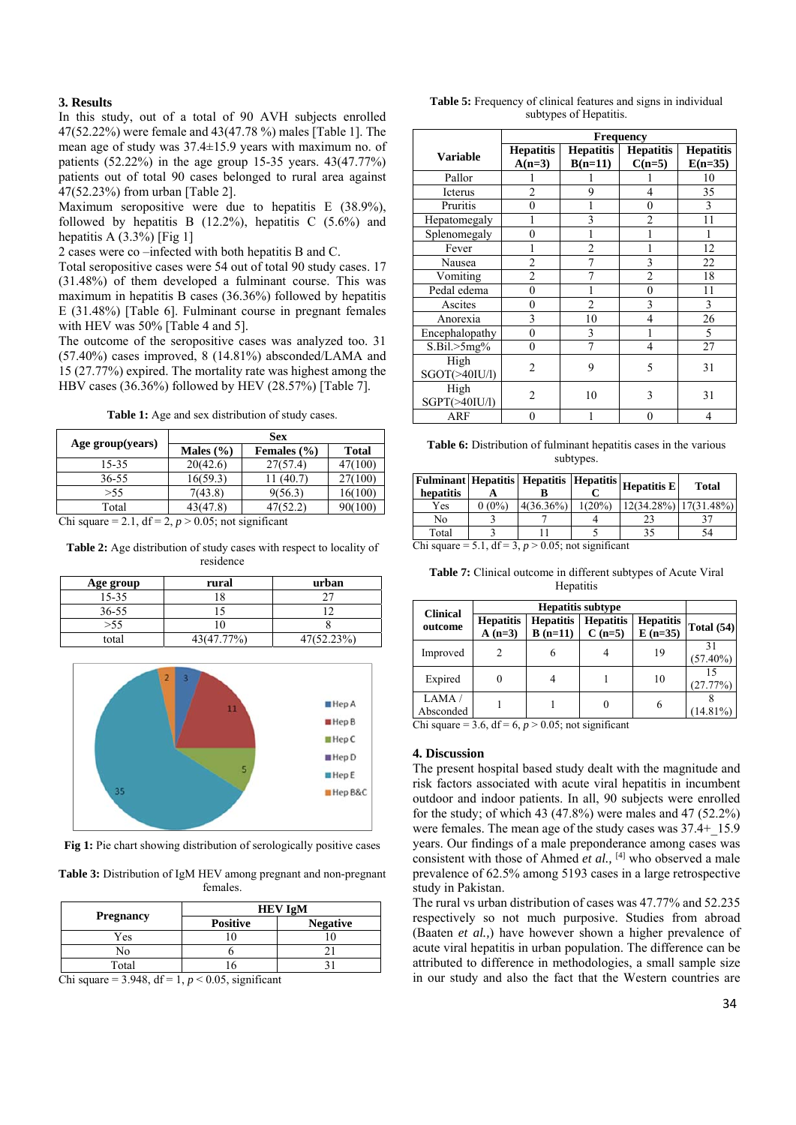# **3. Results**

In this study, out of a total of 90 AVH subjects enrolled 47(52.22%) were female and 43(47.78 %) males [Table 1]. The mean age of study was 37.4±15.9 years with maximum no. of patients (52.22%) in the age group 15-35 years. 43(47.77%) patients out of total 90 cases belonged to rural area against 47(52.23%) from urban [Table 2].

Maximum seropositive were due to hepatitis E (38.9%), followed by hepatitis B  $(12.2\%)$ , hepatitis C  $(5.6\%)$  and hepatitis A  $(3.3\%)$  [Fig 1]

2 cases were co –infected with both hepatitis B and C.

Total seropositive cases were 54 out of total 90 study cases. 17 (31.48%) of them developed a fulminant course. This was maximum in hepatitis B cases (36.36%) followed by hepatitis E (31.48%) [Table 6]. Fulminant course in pregnant females with HEV was 50% [Table 4 and 5].

The outcome of the seropositive cases was analyzed too. 31 (57.40%) cases improved, 8 (14.81%) absconded/LAMA and 15 (27.77%) expired. The mortality rate was highest among the HBV cases (36.36%) followed by HEV (28.57%) [Table 7].

Table 1: Age and sex distribution of study cases.

| Age group(years)                                         | <b>Sex</b>    |                 |         |  |  |
|----------------------------------------------------------|---------------|-----------------|---------|--|--|
|                                                          | Males $(\% )$ | Females $(\% )$ | Total   |  |  |
| 15-35                                                    | 20(42.6)      | 27(57.4)        | 7(100)  |  |  |
| 36-55                                                    | 16(59.3)      | (40.7)          | 27(100) |  |  |
| > 55                                                     | 7(43.8)       | 9(56.3)         | 16(100) |  |  |
| Total                                                    | 43(47.8)      | 47(52.2)        | 90(100) |  |  |
| Chi square $= 2.1$ df $= 2$ n $> 0.05$ ; not significant |               |                 |         |  |  |

Chi square  $= 2.1$ , df  $= 2$ ,  $p > 0.05$ ; not significant

Table 2: Age distribution of study cases with respect to locality of residence

| Age group | rural      | urban      |
|-----------|------------|------------|
| 15-35     |            |            |
| $36 - 55$ |            |            |
| > 55      |            |            |
| total     | 43(47.77%) | 47(52.23%) |



Fig 1: Pie chart showing distribution of serologically positive cases

**Table 3:** Distribution of IgM HEV among pregnant and non-pregnant females.

| <b>Pregnancy</b> | <b>HEV IgM</b>  |                 |  |
|------------------|-----------------|-----------------|--|
|                  | <b>Positive</b> | <b>Negative</b> |  |
| Yes              |                 |                 |  |
| Ñο               |                 |                 |  |
| Total            |                 |                 |  |

Chi square =  $3.948$ , df =  $1, p < 0.05$ , significant

**Table 5:** Frequency of clinical features and signs in individual subtypes of Hepatitis.

|                     | Frequency        |                  |                  |                  |  |
|---------------------|------------------|------------------|------------------|------------------|--|
| <b>Variable</b>     | <b>Hepatitis</b> | <b>Hepatitis</b> | <b>Hepatitis</b> | <b>Hepatitis</b> |  |
|                     | $A(n=3)$         | $B(n=11)$        | $C(n=5)$         | $E(n=35)$        |  |
| Pallor              |                  |                  |                  | 10               |  |
| Icterus             | $\mathfrak{D}$   | 9                | 4                | 35               |  |
| Pruritis            | 0                |                  | $\theta$         | 3                |  |
| Hepatomegaly        |                  | 3                | $\mathfrak{D}$   | 11               |  |
| Splenomegaly        | 0                |                  | 1                |                  |  |
| Fever               |                  | $\overline{2}$   | 1                | 12               |  |
| Nausea              | $\overline{2}$   | 7                | 3                | 22               |  |
| Vomiting            | $\overline{2}$   |                  | $\overline{2}$   | 18               |  |
| Pedal edema         | 0                |                  | $\theta$         | 11               |  |
| Ascites             | 0                | $\mathfrak{D}$   | 3                | 3                |  |
| Anorexia            | 3                | 10               | 4                | 26               |  |
| Encephalopathy      | $\theta$         | 3                |                  | 5                |  |
| S.Bil.>5mg%         | 0                | 7                | $\overline{4}$   | 27               |  |
| High                | $\overline{c}$   | 9                | 5                | 31               |  |
| $SGOT(\geq 40IU/l)$ |                  |                  |                  |                  |  |
| High                | $\overline{c}$   | 10               | 3                | 31               |  |
| $SGPT(\geq 401U/l)$ |                  |                  |                  |                  |  |
| <b>ARF</b>          | $\theta$         |                  | $\Omega$         | 4                |  |

**Table 6:** Distribution of fulminant hepatitis cases in the various subtypes.

| hepatitis     |                 |                   |                | $\boxed{\text{Fulminant}}$ Hepatitis   Hepatitis   Hepatitis   Hepatitis $\boxed{\text{Hepatitis}}$ | Total                       |
|---------------|-----------------|-------------------|----------------|-----------------------------------------------------------------------------------------------------|-----------------------------|
| Yes           | $0(0\%)$        | $4(36.36\%)$      | $1(20\%)$      |                                                                                                     | $12(34.28\%)$ $17(31.48\%)$ |
| No            |                 |                   |                |                                                                                                     |                             |
| Total         |                 |                   |                |                                                                                                     | ۲4                          |
| $\sim$ $\sim$ | $-10$<br>$\sim$ | $\sim$ 0.0 $\sim$ | $\cdot$ $\sim$ |                                                                                                     |                             |

Chi square = 5.1,  $df = 3$ ,  $p > 0.05$ ; not significant

**Table 7:** Clinical outcome in different subtypes of Acute Viral Hepatitis

| <b>Clinical</b>    | <b>Hepatitis subtype</b>     |                               |                              |                               |                   |
|--------------------|------------------------------|-------------------------------|------------------------------|-------------------------------|-------------------|
| outcome            | <b>Hepatitis</b><br>$A(n=3)$ | <b>Hepatitis</b><br>$B(n=11)$ | <b>Hepatitis</b><br>$C(n=5)$ | <b>Hepatitis</b><br>$E(n=35)$ | <b>Total (54)</b> |
| Improved           |                              | 6                             |                              | 19                            | 31<br>$(57.40\%)$ |
| Expired            |                              |                               |                              | 10                            | (27.77%)          |
| LAMA/<br>Absconded |                              |                               | 0                            | 6                             | $(14.81\%)$       |

Chi square = 3.6,  $df = 6$ ,  $p > 0.05$ ; not significant

## **4. Discussion**

The present hospital based study dealt with the magnitude and risk factors associated with acute viral hepatitis in incumbent outdoor and indoor patients. In all, 90 subjects were enrolled for the study; of which 43  $(47.8\%)$  were males and  $47(52.2\%)$ were females. The mean age of the study cases was  $37.4+15.9$ years. Our findings of a male preponderance among cases was consistent with those of Ahmed *et al.*, <sup>[4]</sup> who observed a male prevalence of 62.5% among 5193 cases in a large retrospective study in Pakistan.

The rural vs urban distribution of cases was 47.77% and 52.235 respectively so not much purposive. Studies from abroad (Baaten *et al.,*) have however shown a higher prevalence of acute viral hepatitis in urban population. The difference can be attributed to difference in methodologies, a small sample size in our study and also the fact that the Western countries are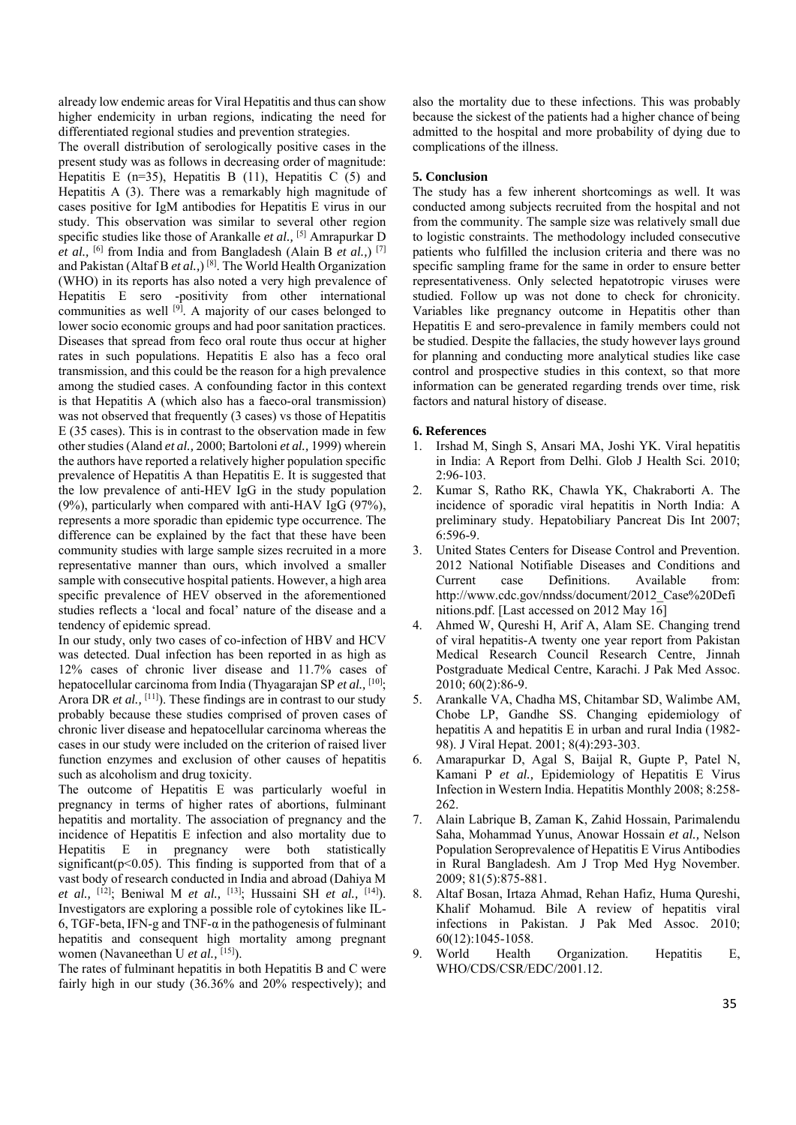already low endemic areas for Viral Hepatitis and thus can show higher endemicity in urban regions, indicating the need for differentiated regional studies and prevention strategies.

The overall distribution of serologically positive cases in the present study was as follows in decreasing order of magnitude: Hepatitis E ( $n=35$ ), Hepatitis B (11), Hepatitis C (5) and Hepatitis A (3). There was a remarkably high magnitude of cases positive for IgM antibodies for Hepatitis E virus in our study. This observation was similar to several other region specific studies like those of Arankalle *et al.,* [5] Amrapurkar D *et al.,* [6] from India and from Bangladesh (Alain B *et al.,*) [7] and Pakistan (Altaf B *et al.,*) [8]. The World Health Organization (WHO) in its reports has also noted a very high prevalence of Hepatitis E sero -positivity from other international communities as well  $[9]$ . A majority of our cases belonged to lower socio economic groups and had poor sanitation practices. Diseases that spread from feco oral route thus occur at higher rates in such populations. Hepatitis E also has a feco oral transmission, and this could be the reason for a high prevalence among the studied cases. A confounding factor in this context is that Hepatitis A (which also has a faeco-oral transmission) was not observed that frequently (3 cases) vs those of Hepatitis E (35 cases). This is in contrast to the observation made in few other studies (Aland *et al.,* 2000; Bartoloni *et al.,* 1999) wherein the authors have reported a relatively higher population specific prevalence of Hepatitis A than Hepatitis E. It is suggested that the low prevalence of anti-HEV IgG in the study population  $(9%)$ , particularly when compared with anti-HAV IgG  $(97%)$ , represents a more sporadic than epidemic type occurrence. The difference can be explained by the fact that these have been community studies with large sample sizes recruited in a more representative manner than ours, which involved a smaller sample with consecutive hospital patients. However, a high area specific prevalence of HEV observed in the aforementioned studies reflects a 'local and focal' nature of the disease and a tendency of epidemic spread.

In our study, only two cases of co-infection of HBV and HCV was detected. Dual infection has been reported in as high as 12% cases of chronic liver disease and 11.7% cases of hepatocellular carcinoma from India (Thyagarajan SP *et al.,* [10]; Arora DR *et al.*, <sup>[11]</sup>). These findings are in contrast to our study probably because these studies comprised of proven cases of chronic liver disease and hepatocellular carcinoma whereas the cases in our study were included on the criterion of raised liver function enzymes and exclusion of other causes of hepatitis such as alcoholism and drug toxicity.

The outcome of Hepatitis E was particularly woeful in pregnancy in terms of higher rates of abortions, fulminant hepatitis and mortality. The association of pregnancy and the incidence of Hepatitis E infection and also mortality due to Hepatitis E in pregnancy were both statistically significant( $p<0.05$ ). This finding is supported from that of a vast body of research conducted in India and abroad (Dahiya M *et al.,* [12]; Beniwal M *et al.,* [13]; Hussaini SH *et al.,* [14]). Investigators are exploring a possible role of cytokines like IL-6, TGF-beta, IFN-g and TNF- $\alpha$  in the pathogenesis of fulminant hepatitis and consequent high mortality among pregnant women (Navaneethan U *et al.*, <sup>[15]</sup>).

The rates of fulminant hepatitis in both Hepatitis B and C were fairly high in our study (36.36% and 20% respectively); and also the mortality due to these infections. This was probably because the sickest of the patients had a higher chance of being admitted to the hospital and more probability of dying due to complications of the illness.

## **5. Conclusion**

The study has a few inherent shortcomings as well. It was conducted among subjects recruited from the hospital and not from the community. The sample size was relatively small due to logistic constraints. The methodology included consecutive patients who fulfilled the inclusion criteria and there was no specific sampling frame for the same in order to ensure better representativeness. Only selected hepatotropic viruses were studied. Follow up was not done to check for chronicity. Variables like pregnancy outcome in Hepatitis other than Hepatitis E and sero-prevalence in family members could not be studied. Despite the fallacies, the study however lays ground for planning and conducting more analytical studies like case control and prospective studies in this context, so that more information can be generated regarding trends over time, risk factors and natural history of disease.

#### **6. References**

- 1. Irshad M, Singh S, Ansari MA, Joshi YK. Viral hepatitis in India: A Report from Delhi. Glob J Health Sci. 2010; 2:96-103.
- 2. Kumar S, Ratho RK, Chawla YK, Chakraborti A. The incidence of sporadic viral hepatitis in North India: A preliminary study. Hepatobiliary Pancreat Dis Int 2007; 6:596-9.
- 3. United States Centers for Disease Control and Prevention. 2012 National Notifiable Diseases and Conditions and Current case Definitions. Available from: http://www.cdc.gov/nndss/document/2012\_Case%20Defi nitions.pdf. [Last accessed on 2012 May 16]
- 4. Ahmed W, Qureshi H, Arif A, Alam SE. Changing trend of viral hepatitis-A twenty one year report from Pakistan Medical Research Council Research Centre, Jinnah Postgraduate Medical Centre, Karachi. J Pak Med Assoc. 2010; 60(2):86-9.
- 5. Arankalle VA, Chadha MS, Chitambar SD, Walimbe AM, Chobe LP, Gandhe SS. Changing epidemiology of hepatitis A and hepatitis E in urban and rural India (1982- 98). J Viral Hepat. 2001; 8(4):293-303.
- 6. Amarapurkar D, Agal S, Baijal R, Gupte P, Patel N, Kamani P *et al.,* Epidemiology of Hepatitis E Virus Infection in Western India. Hepatitis Monthly 2008; 8:258- 262.
- 7. Alain Labrique B, Zaman K, Zahid Hossain, Parimalendu Saha, Mohammad Yunus, Anowar Hossain *et al.,* Nelson Population Seroprevalence of Hepatitis E Virus Antibodies in Rural Bangladesh. Am J Trop Med Hyg November. 2009; 81(5):875-881.
- 8. Altaf Bosan, Irtaza Ahmad, Rehan Hafiz, Huma Qureshi, Khalif Mohamud. Bile A review of hepatitis viral infections in Pakistan. J Pak Med Assoc. 2010; 60(12):1045-1058.
- 9. World Health Organization. Hepatitis E, WHO/CDS/CSR/EDC/2001.12.